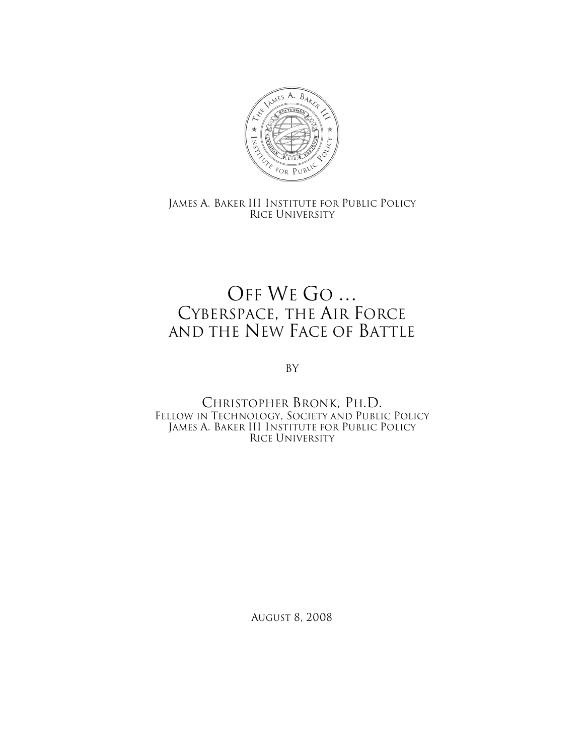

JAMES A. BAKER III INSTITUTE FOR PUBLIC POLICY RICE UNIVERSITY

## OFF WE GO … CYBERSPACE, THE AIR FORCE AND THE NEW FACE OF BATTLE

By

CHRISTOPHER BRONK, PH.D. FELLOW IN TECHNOLOGY, SOCIETY AND PUBLIC POLICY JAMES A. BAKER III INSTITUTE FOR PUBLIC POLICY RICE UNIVERSITY

AUGUST 8, 2008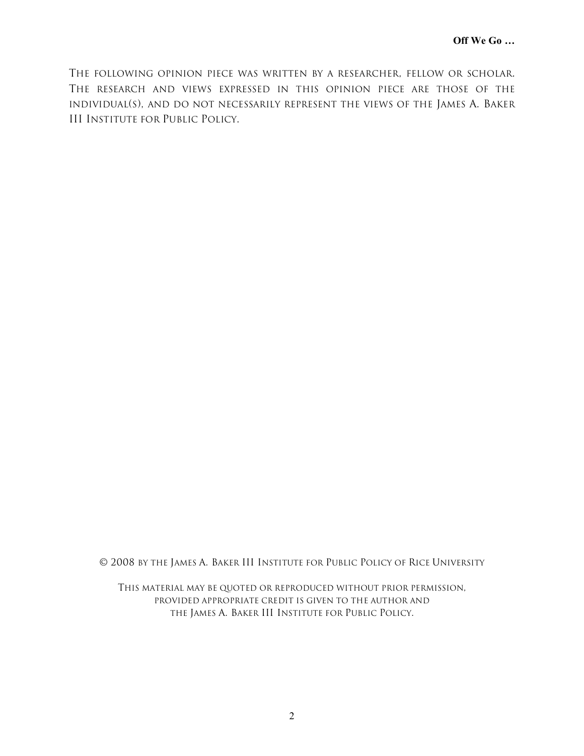THE FOLLOWING OPINION PIECE WAS WRITTEN BY A RESEARCHER, FELLOW OR SCHOLAR. THE RESEARCH AND VIEWS EXPRESSED IN THIS OPINION PIECE ARE THOSE OF THE INDIVIDUAL(S), AND DO NOT NECESSARILY REPRESENT THE VIEWS OF THE JAMES A. BAKER III INSTITUTE FOR PUBLIC POLICY.

© 2008 BY THE JAMES A. BAKER III INSTITUTE FOR PUBLIC POLICY OF RICE UNIVERSITY

THIS MATERIAL MAY BE QUOTED OR REPRODUCED WITHOUT PRIOR PERMISSION, PROVIDED APPROPRIATE CREDIT IS GIVEN TO THE AUTHOR AND THE JAMES A. BAKER III INSTITUTE FOR PUBLIC POLICY.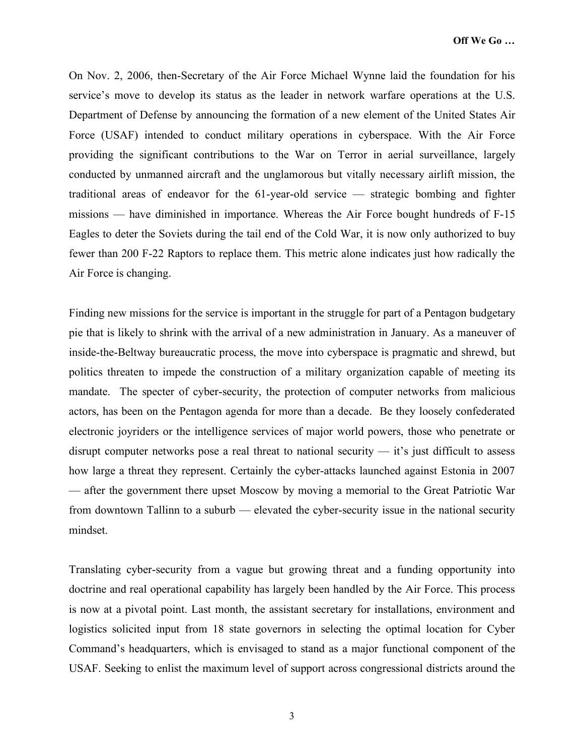On Nov. 2, 2006, then-Secretary of the Air Force Michael Wynne laid the foundation for his service's move to develop its status as the leader in network warfare operations at the U.S. Department of Defense by announcing the formation of a new element of the United States Air Force (USAF) intended to conduct military operations in cyberspace. With the Air Force providing the significant contributions to the War on Terror in aerial surveillance, largely conducted by unmanned aircraft and the unglamorous but vitally necessary airlift mission, the traditional areas of endeavor for the 61-year-old service — strategic bombing and fighter missions — have diminished in importance. Whereas the Air Force bought hundreds of F-15 Eagles to deter the Soviets during the tail end of the Cold War, it is now only authorized to buy fewer than 200 F-22 Raptors to replace them. This metric alone indicates just how radically the Air Force is changing.

Finding new missions for the service is important in the struggle for part of a Pentagon budgetary pie that is likely to shrink with the arrival of a new administration in January. As a maneuver of inside-the-Beltway bureaucratic process, the move into cyberspace is pragmatic and shrewd, but politics threaten to impede the construction of a military organization capable of meeting its mandate. The specter of cyber-security, the protection of computer networks from malicious actors, has been on the Pentagon agenda for more than a decade. Be they loosely confederated electronic joyriders or the intelligence services of major world powers, those who penetrate or disrupt computer networks pose a real threat to national security — it's just difficult to assess how large a threat they represent. Certainly the cyber-attacks launched against Estonia in 2007 — after the government there upset Moscow by moving a memorial to the Great Patriotic War from downtown Tallinn to a suburb — elevated the cyber-security issue in the national security mindset.

Translating cyber-security from a vague but growing threat and a funding opportunity into doctrine and real operational capability has largely been handled by the Air Force. This process is now at a pivotal point. Last month, the assistant secretary for installations, environment and logistics solicited input from 18 state governors in selecting the optimal location for Cyber Command's headquarters, which is envisaged to stand as a major functional component of the USAF. Seeking to enlist the maximum level of support across congressional districts around the

3